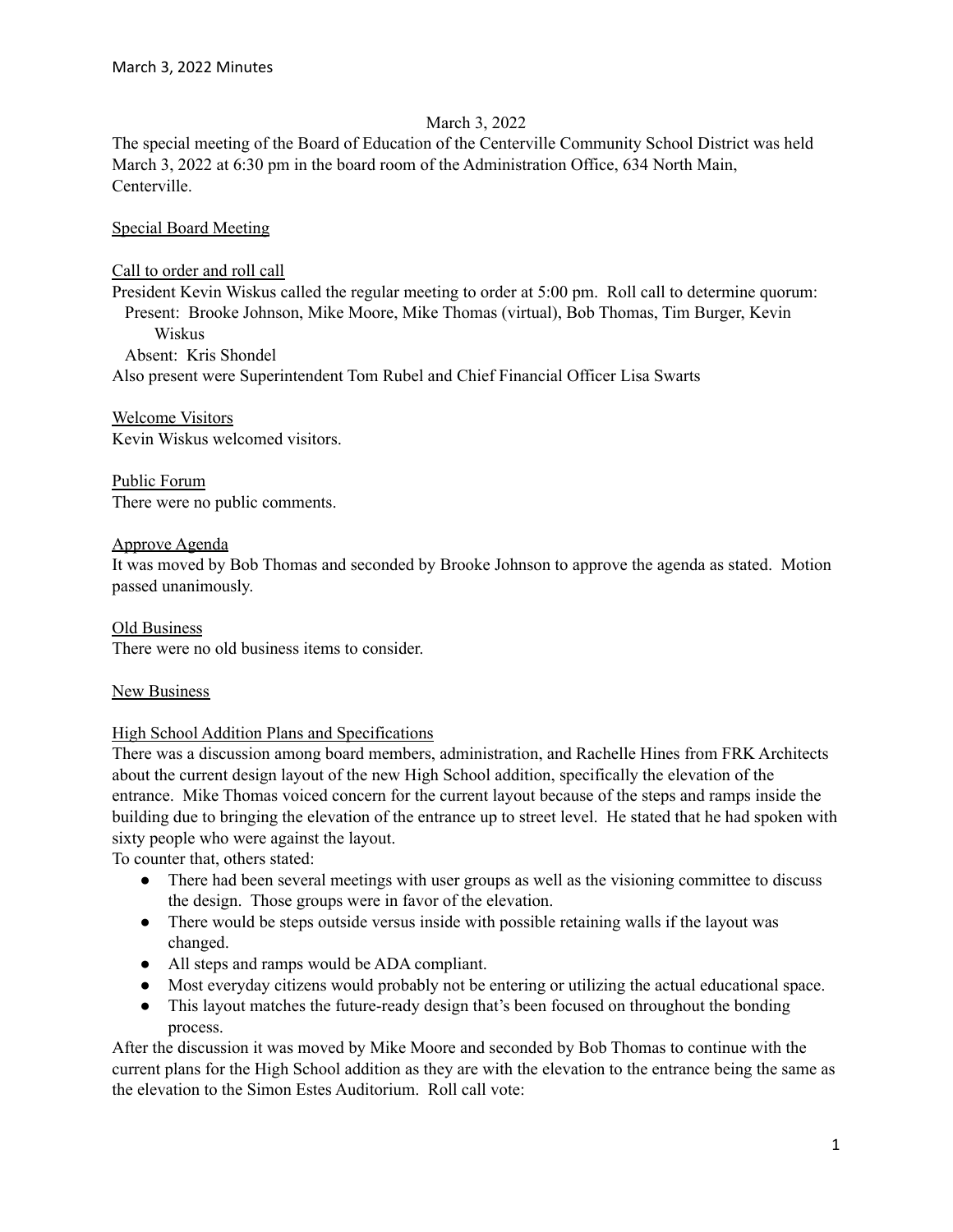## March 3, 2022

The special meeting of the Board of Education of the Centerville Community School District was held March 3, 2022 at 6:30 pm in the board room of the Administration Office, 634 North Main, Centerville.

Special Board Meeting

### Call to order and roll call

President Kevin Wiskus called the regular meeting to order at 5:00 pm. Roll call to determine quorum: Present: Brooke Johnson, Mike Moore, Mike Thomas (virtual), Bob Thomas, Tim Burger, Kevin Wiskus

Absent: Kris Shondel Also present were Superintendent Tom Rubel and Chief Financial Officer Lisa Swarts

Welcome Visitors Kevin Wiskus welcomed visitors.

Public Forum There were no public comments.

## Approve Agenda

It was moved by Bob Thomas and seconded by Brooke Johnson to approve the agenda as stated. Motion passed unanimously.

Old Business There were no old business items to consider.

# New Business

# High School Addition Plans and Specifications

There was a discussion among board members, administration, and Rachelle Hines from FRK Architects about the current design layout of the new High School addition, specifically the elevation of the entrance. Mike Thomas voiced concern for the current layout because of the steps and ramps inside the building due to bringing the elevation of the entrance up to street level. He stated that he had spoken with sixty people who were against the layout.

To counter that, others stated:

- There had been several meetings with user groups as well as the visioning committee to discuss the design. Those groups were in favor of the elevation.
- There would be steps outside versus inside with possible retaining walls if the layout was changed.
- All steps and ramps would be ADA compliant.
- Most everyday citizens would probably not be entering or utilizing the actual educational space.
- This layout matches the future-ready design that's been focused on throughout the bonding process.

After the discussion it was moved by Mike Moore and seconded by Bob Thomas to continue with the current plans for the High School addition as they are with the elevation to the entrance being the same as the elevation to the Simon Estes Auditorium. Roll call vote: